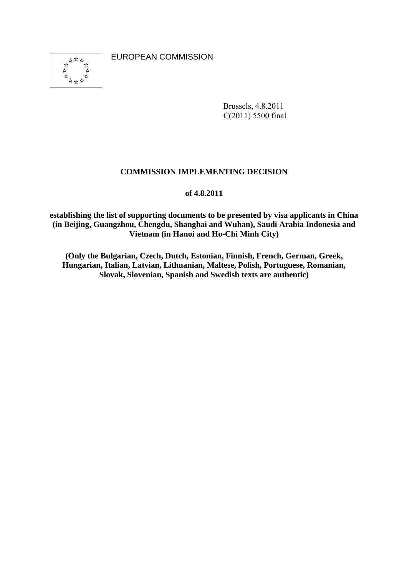\*\*\*\*\*<br>\*\*\*\*\*\*<br>\*\*\*\*\*

EUROPEAN COMMISSION

Brussels, 4.8.2011 C(2011) 5500 final

### **COMMISSION IMPLEMENTING DECISION**

#### **of 4.8.2011**

**establishing the list of supporting documents to be presented by visa applicants in China (in Beijing, Guangzhou, Chengdu, Shanghai and Wuhan), Saudi Arabia Indonesia and Vietnam (in Hanoi and Ho-Chi Minh City)** 

**(Only the Bulgarian, Czech, Dutch, Estonian, Finnish, French, German, Greek, Hungarian, Italian, Latvian, Lithuanian, Maltese, Polish, Portuguese, Romanian, Slovak, Slovenian, Spanish and Swedish texts are authentic)**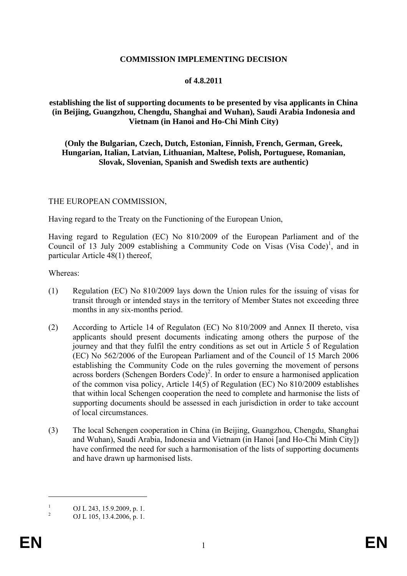### **COMMISSION IMPLEMENTING DECISION**

#### **of 4.8.2011**

#### **establishing the list of supporting documents to be presented by visa applicants in China (in Beijing, Guangzhou, Chengdu, Shanghai and Wuhan), Saudi Arabia Indonesia and Vietnam (in Hanoi and Ho-Chi Minh City)**

#### **(Only the Bulgarian, Czech, Dutch, Estonian, Finnish, French, German, Greek, Hungarian, Italian, Latvian, Lithuanian, Maltese, Polish, Portuguese, Romanian, Slovak, Slovenian, Spanish and Swedish texts are authentic)**

#### THE EUROPEAN COMMISSION,

Having regard to the Treaty on the Functioning of the European Union,

Having regard to Regulation (EC) No 810/2009 of the European Parliament and of the Council of 13 July 2009 establishing a Community Code on Visas (Visa Code)<sup>1</sup>, and in particular Article 48(1) thereof,

Whereas:

- (1) Regulation (EC) No 810/2009 lays down the Union rules for the issuing of visas for transit through or intended stays in the territory of Member States not exceeding three months in any six-months period.
- (2) According to Article 14 of Regulaton (EC) No 810/2009 and Annex II thereto, visa applicants should present documents indicating among others the purpose of the journey and that they fulfil the entry conditions as set out in Article 5 of Regulation (EC) No 562/2006 of the European Parliament and of the Council of 15 March 2006 establishing the Community Code on the rules governing the movement of persons across borders (Schengen Borders Code)<sup>2</sup>. In order to ensure a harmonised application of the common visa policy, Article 14(5) of Regulation (EC) No 810/2009 establishes that within local Schengen cooperation the need to complete and harmonise the lists of supporting documents should be assessed in each jurisdiction in order to take account of local circumstances.
- (3) The local Schengen cooperation in China (in Beijing, Guangzhou, Chengdu, Shanghai and Wuhan), Saudi Arabia, Indonesia and Vietnam (in Hanoi [and Ho-Chi Minh City]) have confirmed the need for such a harmonisation of the lists of supporting documents and have drawn up harmonised lists.

<u>.</u>

<sup>1</sup> OJ L 243, 15.9.2009, p. 1.

<sup>2</sup> OJ L 105, 13.4.2006, p. 1.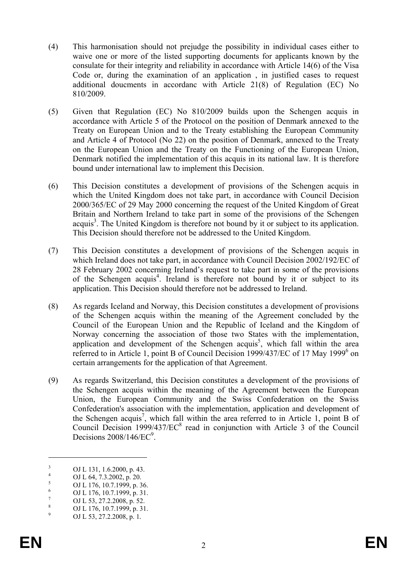- (4) This harmonisation should not prejudge the possibility in individual cases either to waive one or more of the listed supporting documents for applicants known by the consulate for their integrity and reliability in accordance with Article 14(6) of the Visa Code or, during the examination of an application , in justified cases to request additional doucments in accordanc with Article 21(8) of Regulation (EC) No 810/2009.
- (5) Given that Regulation (EC) No 810/2009 builds upon the Schengen acquis in accordance with Article 5 of the Protocol on the position of Denmark annexed to the Treaty on European Union and to the Treaty establishing the European Community and Article 4 of Protocol (No 22) on the position of Denmark, annexed to the Treaty on the European Union and the Treaty on the Functioning of the European Union, Denmark notified the implementation of this acquis in its national law. It is therefore bound under international law to implement this Decision.
- (6) This Decision constitutes a development of provisions of the Schengen acquis in which the United Kingdom does not take part, in accordance with Council Decision 2000/365/EC of 29 May 2000 concerning the request of the United Kingdom of Great Britain and Northern Ireland to take part in some of the provisions of the Schengen  $acquis<sup>3</sup>$ . The United Kingdom is therefore not bound by it or subject to its application. This Decision should therefore not be addressed to the United Kingdom.
- (7) This Decision constitutes a development of provisions of the Schengen acquis in which Ireland does not take part, in accordance with Council Decision 2002/192/EC of 28 February 2002 concerning Ireland's request to take part in some of the provisions of the Schengen acquis<sup>4</sup>. Ireland is therefore not bound by it or subject to its application. This Decision should therefore not be addressed to Ireland.
- (8) As regards Iceland and Norway, this Decision constitutes a development of provisions of the Schengen acquis within the meaning of the Agreement concluded by the Council of the European Union and the Republic of Iceland and the Kingdom of Norway concerning the association of those two States with the implementation, application and development of the Schengen acquis<sup>5</sup>, which fall within the area referred to in Article 1, point B of Council Decision 1999/437/EC of 17 May 1999<sup>6</sup> on certain arrangements for the application of that Agreement.
- (9) As regards Switzerland, this Decision constitutes a development of the provisions of the Schengen acquis within the meaning of the Agreement between the European Union, the European Community and the Swiss Confederation on the Swiss Confederation's association with the implementation, application and development of the Schengen acquis<sup>7</sup>, which fall within the area referred to in Article 1, point B of Council Decision 1999/437/EC<sup>8</sup> read in conjunction with Article 3 of the Council Decisions  $2008/146/EC<sup>9</sup>$ .

1

<sup>3</sup> OJ L 131, 1.6.2000, p. 43. 4

OJ L 64, 7.3.2002, p. 20. 5

OJ L 176, 10.7.1999, p. 36.

<sup>6</sup> OJ L 176, 10.7.1999, p. 31.

<sup>7</sup> OJ L 53, 27.2.2008, p. 52.

<sup>8</sup> OJ L 176, 10.7.1999, p. 31.

<sup>9</sup> OJ L 53, 27.2.2008, p. 1*.*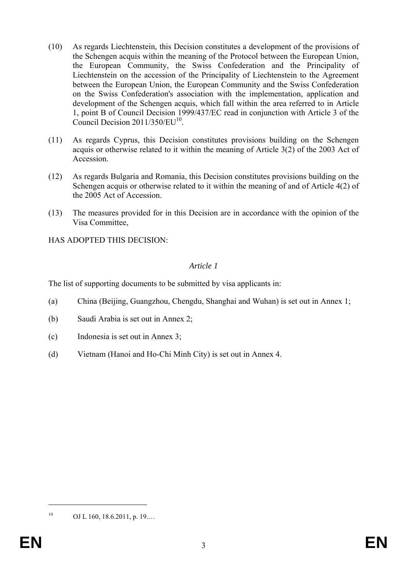- (10) As regards Liechtenstein, this Decision constitutes a development of the provisions of the Schengen acquis within the meaning of the Protocol between the European Union, the European Community, the Swiss Confederation and the Principality of Liechtenstein on the accession of the Principality of Liechtenstein to the Agreement between the European Union, the European Community and the Swiss Confederation on the Swiss Confederation's association with the implementation, application and development of the Schengen acquis, which fall within the area referred to in Article 1, point B of Council Decision 1999/437/EC read in conjunction with Article 3 of the Council Decision 2011/350/EU<sup>10</sup>.
- (11) As regards Cyprus, this Decision constitutes provisions building on the Schengen acquis or otherwise related to it within the meaning of Article 3(2) of the 2003 Act of Accession.
- (12) As regards Bulgaria and Romania, this Decision constitutes provisions building on the Schengen acquis or otherwise related to it within the meaning of and of Article 4(2) of the 2005 Act of Accession.
- (13) The measures provided for in this Decision are in accordance with the opinion of the Visa Committee,

HAS ADOPTED THIS DECISION:

### *Article 1*

The list of supporting documents to be submitted by visa applicants in:

- (a) China (Beijing, Guangzhou, Chengdu, Shanghai and Wuhan) is set out in Annex 1;
- (b) Saudi Arabia is set out in Annex 2;
- (c) Indonesia is set out in Annex 3;
- (d) Vietnam (Hanoi and Ho-Chi Minh City) is set out in Annex 4.

1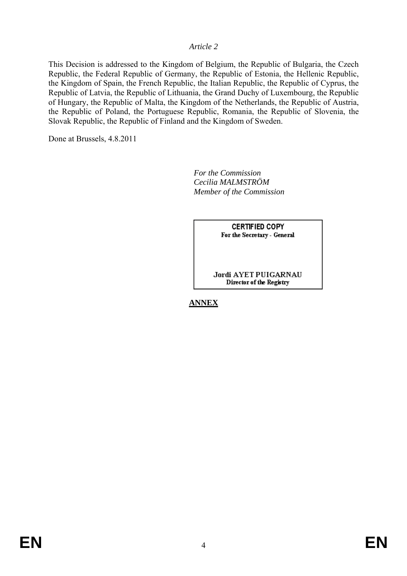#### *Article 2*

This Decision is addressed to the Kingdom of Belgium, the Republic of Bulgaria, the Czech Republic, the Federal Republic of Germany, the Republic of Estonia, the Hellenic Republic, the Kingdom of Spain, the French Republic, the Italian Republic, the Republic of Cyprus, the Republic of Latvia, the Republic of Lithuania, the Grand Duchy of Luxembourg, the Republic of Hungary, the Republic of Malta, the Kingdom of the Netherlands, the Republic of Austria, the Republic of Poland, the Portuguese Republic, Romania, the Republic of Slovenia, the Slovak Republic, the Republic of Finland and the Kingdom of Sweden.

Done at Brussels, 4.8.2011

 *For the Commission Cecilia MALMSTRÖM Member of the Commission* 

> **CERTIFIED COPY** For the Secretary - General

Jordi AYET PUIGARNAU Director of the Registry

**ANNEX**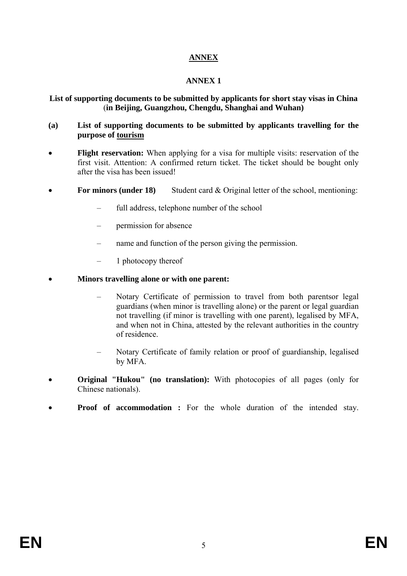# **ANNEX**

## **ANNEX 1**

### **List of supporting documents to be submitted by applicants for short stay visas in China**  (**in Beijing, Guangzhou, Chengdu, Shanghai and Wuhan)**

### **(a) List of supporting documents to be submitted by applicants travelling for the purpose of tourism**

- **Flight reservation:** When applying for a visa for multiple visits: reservation of the first visit. Attention: A confirmed return ticket. The ticket should be bought only after the visa has been issued!
- For minors (under 18) Student card  $&$  Original letter of the school, mentioning:
	- full address, telephone number of the school
	- permission for absence
	- name and function of the person giving the permission.
	- 1 photocopy thereof
- **Minors travelling alone or with one parent:** 
	- Notary Certificate of permission to travel from both parentsor legal guardians (when minor is travelling alone) or the parent or legal guardian not travelling (if minor is travelling with one parent), legalised by MFA, and when not in China, attested by the relevant authorities in the country of residence.
	- Notary Certificate of family relation or proof of guardianship, legalised by MFA.
- **Original "Hukou" (no translation):** With photocopies of all pages (only for Chinese nationals).
- **Proof of accommodation :** For the whole duration of the intended stay.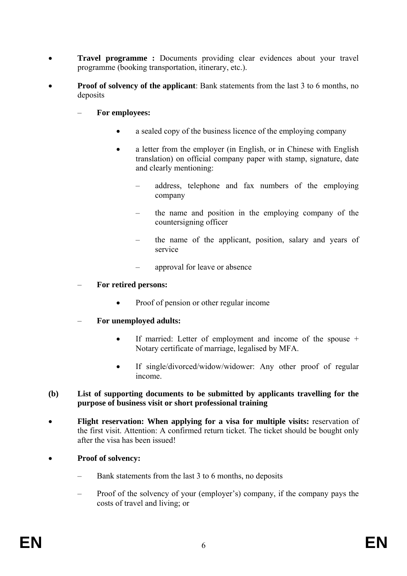- **Travel programme :** Documents providing clear evidences about your travel programme (booking transportation, itinerary, etc.).
- **Proof of solvency of the applicant**: Bank statements from the last 3 to 6 months, no deposits
	- **For employees:** 
		- a sealed copy of the business licence of the employing company
		- a letter from the employer (in English, or in Chinese with English translation) on official company paper with stamp, signature, date and clearly mentioning:
			- address, telephone and fax numbers of the employing company
			- the name and position in the employing company of the countersigning officer
			- the name of the applicant, position, salary and years of service
			- approval for leave or absence

### – **For retired persons:**

- Proof of pension or other regular income
- **For unemployed adults:** 
	- If married: Letter of employment and income of the spouse + Notary certificate of marriage, legalised by MFA.
	- If single/divorced/widow/widower: Any other proof of regular income.
- **(b) List of supporting documents to be submitted by applicants travelling for the purpose of business visit or short professional training**
- **Flight reservation: When applying for a visa for multiple visits:** reservation of the first visit. Attention: A confirmed return ticket. The ticket should be bought only after the visa has been issued!
- **Proof of solvency:** 
	- Bank statements from the last 3 to 6 months, no deposits
	- Proof of the solvency of your (employer's) company, if the company pays the costs of travel and living; or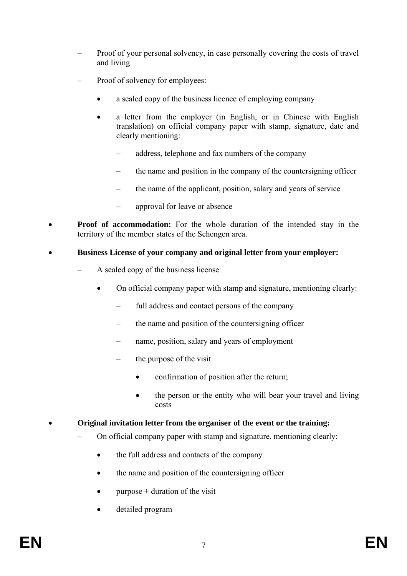- Proof of your personal solvency, in case personally covering the costs of travel and living
- Proof of solvency for employees:
	- a sealed copy of the business licence of employing company
	- a letter from the employer (in English, or in Chinese with English translation) on official company paper with stamp, signature, date and clearly mentioning:
		- address, telephone and fax numbers of the company
		- the name and position in the company of the countersigning officer
		- the name of the applicant, position, salary and years of service
		- approval for leave or absence
- **Proof of accommodation:** For the whole duration of the intended stay in the territory of the member states of the Schengen area.
- **Business License of your company and original letter from your employer:** 
	- A sealed copy of the business license
		- On official company paper with stamp and signature, mentioning clearly:
			- full address and contact persons of the company
			- the name and position of the countersigning officer
			- name, position, salary and years of employment
			- the purpose of the visit
				- confirmation of position after the return;
				- the person or the entity who will bear your travel and living costs
- **Original invitation letter from the organiser of the event or the training:**
	- On official company paper with stamp and signature, mentioning clearly:
		- the full address and contacts of the company
		- the name and position of the countersigning officer
		- purpose  $+$  duration of the visit
		- detailed program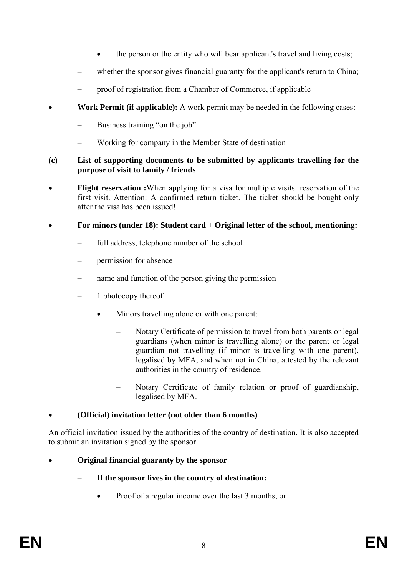- the person or the entity who will bear applicant's travel and living costs;
- whether the sponsor gives financial guaranty for the applicant's return to China;
- proof of registration from a Chamber of Commerce, if applicable
- **Work Permit (if applicable):** A work permit may be needed in the following cases:
	- Business training "on the job"
	- Working for company in the Member State of destination

### **(c) List of supporting documents to be submitted by applicants travelling for the purpose of visit to family / friends**

**Flight reservation :**When applying for a visa for multiple visits: reservation of the first visit. Attention: A confirmed return ticket. The ticket should be bought only after the visa has been issued!

## • **For minors (under 18): Student card + Original letter of the school, mentioning:**

- full address, telephone number of the school
- permission for absence
- name and function of the person giving the permission
- 1 photocopy thereof
	- Minors travelling alone or with one parent:
		- Notary Certificate of permission to travel from both parents or legal guardians (when minor is travelling alone) or the parent or legal guardian not travelling (if minor is travelling with one parent), legalised by MFA, and when not in China, attested by the relevant authorities in the country of residence.
		- Notary Certificate of family relation or proof of guardianship, legalised by MFA.

# • **(Official) invitation letter (not older than 6 months)**

An official invitation issued by the authorities of the country of destination. It is also accepted to submit an invitation signed by the sponsor.

- **Original financial guaranty by the sponsor** 
	- **If the sponsor lives in the country of destination:** 
		- Proof of a regular income over the last 3 months, or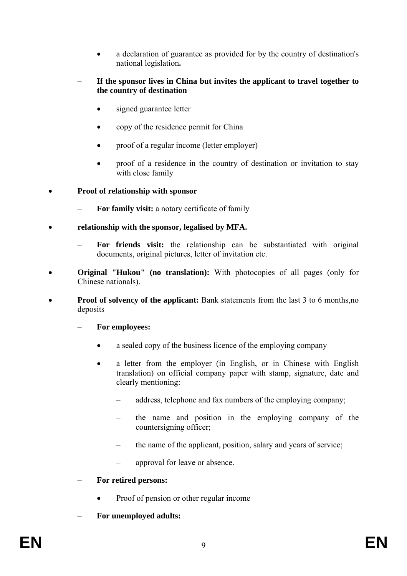- a declaration of guarantee as provided for by the country of destination's national legislation**.**
- **If the sponsor lives in China but invites the applicant to travel together to the country of destination** 
	- signed guarantee letter
	- copy of the residence permit for China
	- proof of a regular income (letter employer)
	- proof of a residence in the country of destination or invitation to stay with close family

• **Proof of relationship with sponsor**

- **For family visit:** a notary certificate of family
- **relationship with the sponsor, legalised by MFA.** 
	- **For friends visit:** the relationship can be substantiated with original documents, original pictures, letter of invitation etc.
- **Original "Hukou"** (no translation): With photocopies of all pages (only for Chinese nationals).
- **Proof of solvency of the applicant:** Bank statements from the last 3 to 6 months,no deposits

– **For employees:** 

- a sealed copy of the business licence of the employing company
- a letter from the employer (in English, or in Chinese with English translation) on official company paper with stamp, signature, date and clearly mentioning:
	- address, telephone and fax numbers of the employing company;
	- the name and position in the employing company of the countersigning officer;
	- the name of the applicant, position, salary and years of service;
	- approval for leave or absence.
- **For retired persons:** 
	- Proof of pension or other regular income
- **For unemployed adults:**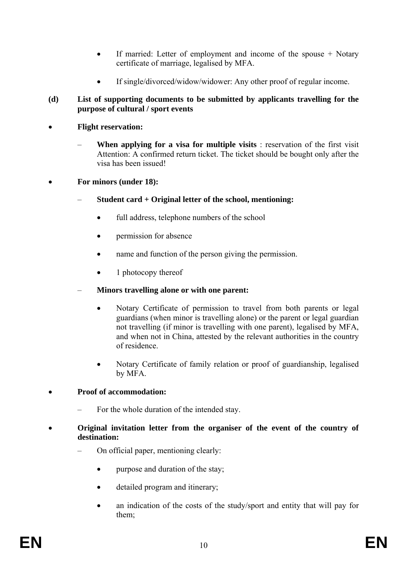- If married: Letter of employment and income of the spouse + Notary certificate of marriage, legalised by MFA.
- If single/divorced/widow/widower: Any other proof of regular income.

## **(d) List of supporting documents to be submitted by applicants travelling for the purpose of cultural / sport events**

- **Flight reservation:** 
	- **When applying for a visa for multiple visits** : reservation of the first visit Attention: A confirmed return ticket. The ticket should be bought only after the visa has been issued!

## • **For minors (under 18):**

- **Student card + Original letter of the school, mentioning:** 
	- full address, telephone numbers of the school
	- permission for absence
	- name and function of the person giving the permission.
	- 1 photocopy thereof

## – **Minors travelling alone or with one parent:**

- Notary Certificate of permission to travel from both parents or legal guardians (when minor is travelling alone) or the parent or legal guardian not travelling (if minor is travelling with one parent), legalised by MFA, and when not in China, attested by the relevant authorities in the country of residence.
- Notary Certificate of family relation or proof of guardianship, legalised by MFA.

# • **Proof of accommodation:**

- For the whole duration of the intended stay.
- **Original invitation letter from the organiser of the event of the country of destination:** 
	- On official paper, mentioning clearly:
		- purpose and duration of the stay;
		- detailed program and itinerary;
		- an indication of the costs of the study/sport and entity that will pay for them;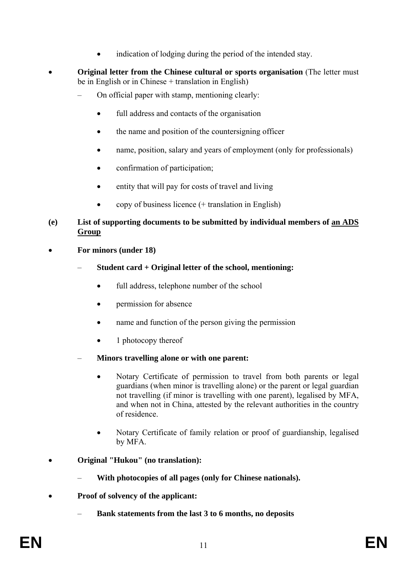- indication of lodging during the period of the intended stay.
- **Original letter from the Chinese cultural or sports organisation** (The letter must be in English or in Chinese + translation in English)
	- On official paper with stamp, mentioning clearly:
		- full address and contacts of the organisation
		- the name and position of the countersigning officer
		- name, position, salary and years of employment (only for professionals)
		- confirmation of participation;
		- entity that will pay for costs of travel and living
		- copy of business licence (+ translation in English)

### **(e) List of supporting documents to be submitted by individual members of an ADS Group**

- **For minors (under 18)** 
	- **Student card + Original letter of the school, mentioning:** 
		- full address, telephone number of the school
		- permission for absence
		- name and function of the person giving the permission
		- 1 photocopy thereof
	- **Minors travelling alone or with one parent:** 
		- Notary Certificate of permission to travel from both parents or legal guardians (when minor is travelling alone) or the parent or legal guardian not travelling (if minor is travelling with one parent), legalised by MFA, and when not in China, attested by the relevant authorities in the country of residence.
		- Notary Certificate of family relation or proof of guardianship, legalised by MFA.
- **Original "Hukou" (no translation):**
	- **With photocopies of all pages (only for Chinese nationals).**
- **Proof of solvency of the applicant:** 
	- **Bank statements from the last 3 to 6 months, no deposits**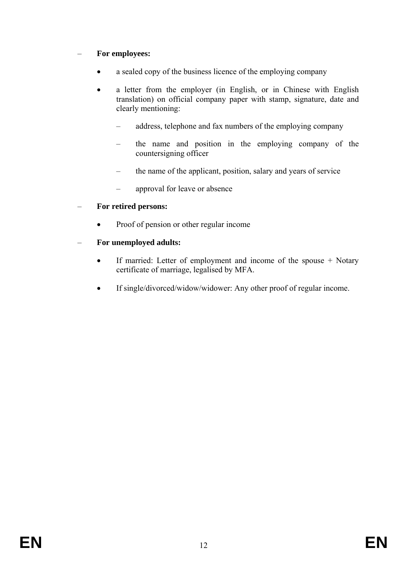# – **For employees:**

- a sealed copy of the business licence of the employing company
- a letter from the employer (in English, or in Chinese with English translation) on official company paper with stamp, signature, date and clearly mentioning:
	- address, telephone and fax numbers of the employing company
	- the name and position in the employing company of the countersigning officer
	- the name of the applicant, position, salary and years of service
	- approval for leave or absence

## – **For retired persons:**

• Proof of pension or other regular income

# – **For unemployed adults:**

- If married: Letter of employment and income of the spouse + Notary certificate of marriage, legalised by MFA.
- If single/divorced/widow/widower: Any other proof of regular income.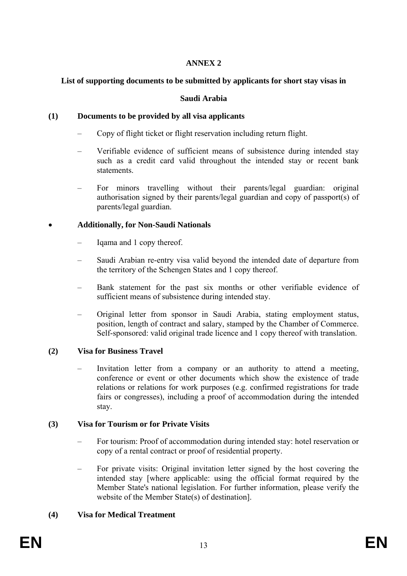## **ANNEX 2**

## **List of supporting documents to be submitted by applicants for short stay visas in**

### **Saudi Arabia**

## **(1) Documents to be provided by all visa applicants**

- Copy of flight ticket or flight reservation including return flight.
- Verifiable evidence of sufficient means of subsistence during intended stay such as a credit card valid throughout the intended stay or recent bank statements.
- For minors travelling without their parents/legal guardian: original authorisation signed by their parents/legal guardian and copy of passport(s) of parents/legal guardian.

## • **Additionally, for Non-Saudi Nationals**

- Iqama and 1 copy thereof.
- Saudi Arabian re-entry visa valid beyond the intended date of departure from the territory of the Schengen States and 1 copy thereof.
- Bank statement for the past six months or other verifiable evidence of sufficient means of subsistence during intended stay.
- Original letter from sponsor in Saudi Arabia, stating employment status, position, length of contract and salary, stamped by the Chamber of Commerce. Self-sponsored: valid original trade licence and 1 copy thereof with translation.

## **(2) Visa for Business Travel**

– Invitation letter from a company or an authority to attend a meeting, conference or event or other documents which show the existence of trade relations or relations for work purposes (e.g. confirmed registrations for trade fairs or congresses), including a proof of accommodation during the intended stay.

## **(3) Visa for Tourism or for Private Visits**

- For tourism: Proof of accommodation during intended stay: hotel reservation or copy of a rental contract or proof of residential property.
- For private visits: Original invitation letter signed by the host covering the intended stay [where applicable: using the official format required by the Member State's national legislation. For further information, please verify the website of the Member State(s) of destination].

# **(4) Visa for Medical Treatment**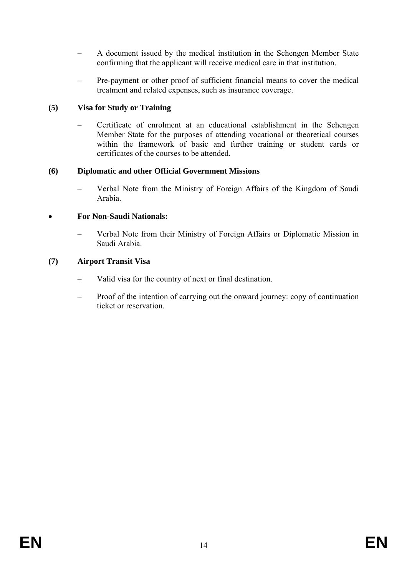- A document issued by the medical institution in the Schengen Member State confirming that the applicant will receive medical care in that institution.
- Pre-payment or other proof of sufficient financial means to cover the medical treatment and related expenses, such as insurance coverage.

## **(5) Visa for Study or Training**

– Certificate of enrolment at an educational establishment in the Schengen Member State for the purposes of attending vocational or theoretical courses within the framework of basic and further training or student cards or certificates of the courses to be attended.

## **(6) Diplomatic and other Official Government Missions**

– Verbal Note from the Ministry of Foreign Affairs of the Kingdom of Saudi Arabia.

## • **For Non-Saudi Nationals:**

– Verbal Note from their Ministry of Foreign Affairs or Diplomatic Mission in Saudi Arabia.

## **(7) Airport Transit Visa**

- Valid visa for the country of next or final destination.
- Proof of the intention of carrying out the onward journey: copy of continuation ticket or reservation.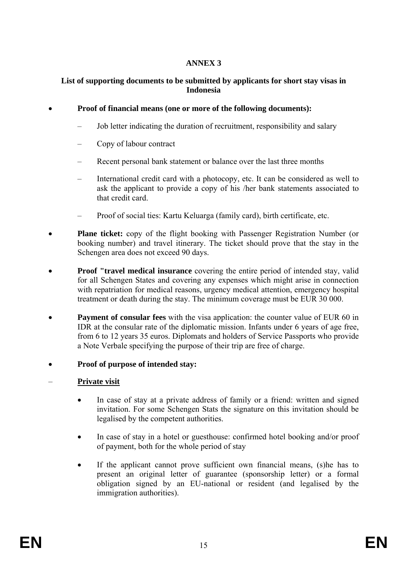## **ANNEX 3**

## **List of supporting documents to be submitted by applicants for short stay visas in Indonesia**

### • **Proof of financial means (one or more of the following documents):**

- Job letter indicating the duration of recruitment, responsibility and salary
- Copy of labour contract
- Recent personal bank statement or balance over the last three months
- International credit card with a photocopy, etc. It can be considered as well to ask the applicant to provide a copy of his /her bank statements associated to that credit card.
- Proof of social ties: Kartu Keluarga (family card), birth certificate, etc.
- **Plane ticket:** copy of the flight booking with Passenger Registration Number (or booking number) and travel itinerary. The ticket should prove that the stay in the Schengen area does not exceed 90 days.
- **Proof "travel medical insurance** covering the entire period of intended stay, valid for all Schengen States and covering any expenses which might arise in connection with repatriation for medical reasons, urgency medical attention, emergency hospital treatment or death during the stay. The minimum coverage must be EUR 30 000.
- **Payment of consular fees** with the visa application: the counter value of EUR 60 in IDR at the consular rate of the diplomatic mission. Infants under 6 years of age free, from 6 to 12 years 35 euros. Diplomats and holders of Service Passports who provide a Note Verbale specifying the purpose of their trip are free of charge.
- **Proof of purpose of intended stay:**
- **Private visit** 
	- In case of stay at a private address of family or a friend: written and signed invitation. For some Schengen Stats the signature on this invitation should be legalised by the competent authorities.
	- In case of stay in a hotel or guesthouse: confirmed hotel booking and/or proof of payment, both for the whole period of stay
	- If the applicant cannot prove sufficient own financial means, (s) he has to present an original letter of guarantee (sponsorship letter) or a formal obligation signed by an EU-national or resident (and legalised by the immigration authorities).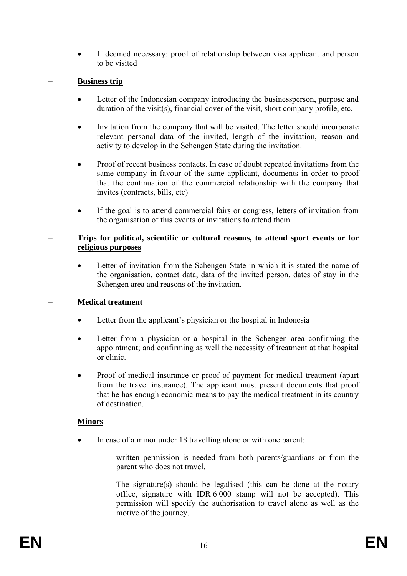• If deemed necessary: proof of relationship between visa applicant and person to be visited

### – **Business trip**

- Letter of the Indonesian company introducing the businessperson, purpose and duration of the visit(s), financial cover of the visit, short company profile, etc.
- Invitation from the company that will be visited. The letter should incorporate relevant personal data of the invited, length of the invitation, reason and activity to develop in the Schengen State during the invitation.
- Proof of recent business contacts. In case of doubt repeated invitations from the same company in favour of the same applicant, documents in order to proof that the continuation of the commercial relationship with the company that invites (contracts, bills, etc)
- If the goal is to attend commercial fairs or congress, letters of invitation from the organisation of this events or invitations to attend them.

### – **Trips for political, scientific or cultural reasons, to attend sport events or for religious purposes**

• Letter of invitation from the Schengen State in which it is stated the name of the organisation, contact data, data of the invited person, dates of stay in the Schengen area and reasons of the invitation.

## – **Medical treatment**

- Letter from the applicant's physician or the hospital in Indonesia
- Letter from a physician or a hospital in the Schengen area confirming the appointment; and confirming as well the necessity of treatment at that hospital or clinic.
- Proof of medical insurance or proof of payment for medical treatment (apart from the travel insurance). The applicant must present documents that proof that he has enough economic means to pay the medical treatment in its country of destination.

## – **Minors**

- In case of a minor under 18 travelling alone or with one parent:
	- written permission is needed from both parents/guardians or from the parent who does not travel.
	- The signature(s) should be legalised (this can be done at the notary office, signature with IDR 6 000 stamp will not be accepted). This permission will specify the authorisation to travel alone as well as the motive of the journey.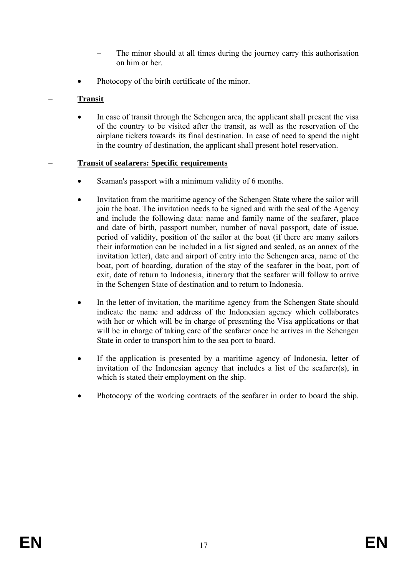- The minor should at all times during the journey carry this authorisation on him or her.
- Photocopy of the birth certificate of the minor.

# – **Transit**

In case of transit through the Schengen area, the applicant shall present the visa of the country to be visited after the transit, as well as the reservation of the airplane tickets towards its final destination. In case of need to spend the night in the country of destination, the applicant shall present hotel reservation.

## – **Transit of seafarers: Specific requirements**

- Seaman's passport with a minimum validity of 6 months.
- Invitation from the maritime agency of the Schengen State where the sailor will join the boat. The invitation needs to be signed and with the seal of the Agency and include the following data: name and family name of the seafarer, place and date of birth, passport number, number of naval passport, date of issue, period of validity, position of the sailor at the boat (if there are many sailors their information can be included in a list signed and sealed, as an annex of the invitation letter), date and airport of entry into the Schengen area, name of the boat, port of boarding, duration of the stay of the seafarer in the boat, port of exit, date of return to Indonesia, itinerary that the seafarer will follow to arrive in the Schengen State of destination and to return to Indonesia.
- In the letter of invitation, the maritime agency from the Schengen State should indicate the name and address of the Indonesian agency which collaborates with her or which will be in charge of presenting the Visa applications or that will be in charge of taking care of the seafarer once he arrives in the Schengen State in order to transport him to the sea port to board.
- If the application is presented by a maritime agency of Indonesia, letter of invitation of the Indonesian agency that includes a list of the seafarer(s), in which is stated their employment on the ship.
- Photocopy of the working contracts of the seafarer in order to board the ship.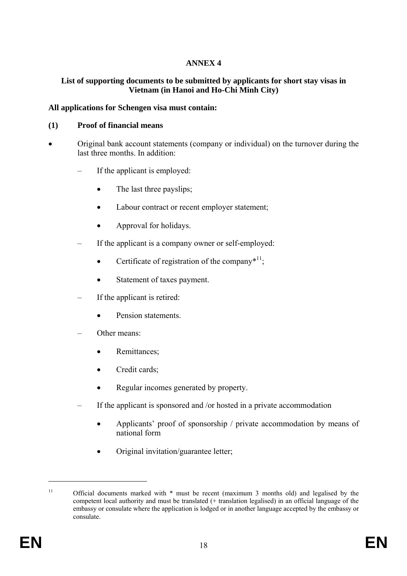## **ANNEX 4**

### **List of supporting documents to be submitted by applicants for short stay visas in Vietnam (in Hanoi and Ho-Chi Minh City)**

### **All applications for Schengen visa must contain:**

#### **(1) Proof of financial means**

- Original bank account statements (company or individual) on the turnover during the last three months. In addition:
	- If the applicant is employed:
		- The last three payslips;
		- Labour contract or recent employer statement;
		- Approval for holidays.
	- If the applicant is a company owner or self-employed:
		- Certificate of registration of the company $*$ <sup>11</sup>;
		- Statement of taxes payment.
	- If the applicant is retired:
		- Pension statements
	- Other means:
		- Remittances:
		- Credit cards;
		- Regular incomes generated by property.
	- If the applicant is sponsored and /or hosted in a private accommodation
		- Applicants' proof of sponsorship / private accommodation by means of national form
		- Original invitation/guarantee letter;

 $\overline{a}$ 

<sup>&</sup>lt;sup>11</sup> Official documents marked with  $*$  must be recent (maximum 3 months old) and legalised by the competent local authority and must be translated (+ translation legalised) in an official language of the embassy or consulate where the application is lodged or in another language accepted by the embassy or consulate.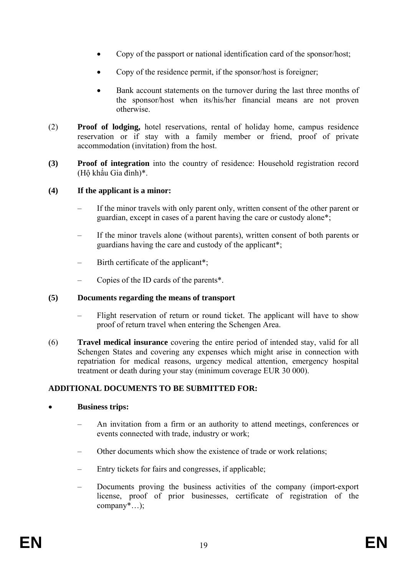- Copy of the passport or national identification card of the sponsor/host;
- Copy of the residence permit, if the sponsor/host is foreigner;
- Bank account statements on the turnover during the last three months of the sponsor/host when its/his/her financial means are not proven otherwise.
- (2) **Proof of lodging,** hotel reservations, rental of holiday home, campus residence reservation or if stay with a family member or friend, proof of private accommodation (invitation) from the host.
- **(3) Proof of integration** into the country of residence: Household registration record (Hộ khẩu Gia đình)\*.

### **(4) If the applicant is a minor:**

- If the minor travels with only parent only, written consent of the other parent or guardian, except in cases of a parent having the care or custody alone\*;
- If the minor travels alone (without parents), written consent of both parents or guardians having the care and custody of the applicant\*;
- Birth certificate of the applicant\*;
- Copies of the ID cards of the parents\*.

#### **(5) Documents regarding the means of transport**

- Flight reservation of return or round ticket. The applicant will have to show proof of return travel when entering the Schengen Area.
- (6) **Travel medical insurance** covering the entire period of intended stay, valid for all Schengen States and covering any expenses which might arise in connection with repatriation for medical reasons, urgency medical attention, emergency hospital treatment or death during your stay (minimum coverage EUR 30 000).

## **ADDITIONAL DOCUMENTS TO BE SUBMITTED FOR:**

#### • **Business trips:**

- An invitation from a firm or an authority to attend meetings, conferences or events connected with trade, industry or work;
- Other documents which show the existence of trade or work relations;
- Entry tickets for fairs and congresses, if applicable;
- Documents proving the business activities of the company (import-export license, proof of prior businesses, certificate of registration of the company\*…);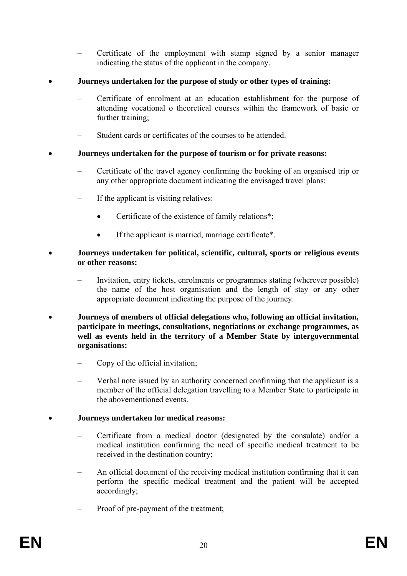– Certificate of the employment with stamp signed by a senior manager indicating the status of the applicant in the company.

## • **Journeys undertaken for the purpose of study or other types of training:**

- Certificate of enrolment at an education establishment for the purpose of attending vocational o theoretical courses within the framework of basic or further training;
- Student cards or certificates of the courses to be attended.

## • **Journeys undertaken for the purpose of tourism or for private reasons:**

- Certificate of the travel agency confirming the booking of an organised trip or any other appropriate document indicating the envisaged travel plans:
- If the applicant is visiting relatives:
	- Certificate of the existence of family relations<sup>\*</sup>;
	- If the applicant is married, marriage certificate\*.

### • **Journeys undertaken for political, scientific, cultural, sports or religious events or other reasons:**

- Invitation, entry tickets, enrolments or programmes stating (wherever possible) the name of the host organisation and the length of stay or any other appropriate document indicating the purpose of the journey.
- **Journeys of members of official delegations who, following an official invitation, participate in meetings, consultations, negotiations or exchange programmes, as well as events held in the territory of a Member State by intergovernmental organisations:** 
	- Copy of the official invitation;
	- Verbal note issued by an authority concerned confirming that the applicant is a member of the official delegation travelling to a Member State to participate in the abovementioned events.

## • **Journeys undertaken for medical reasons:**

- Certificate from a medical doctor (designated by the consulate) and/or a medical institution confirming the need of specific medical treatment to be received in the destination country;
- An official document of the receiving medical institution confirming that it can perform the specific medical treatment and the patient will be accepted accordingly;
- Proof of pre-payment of the treatment;